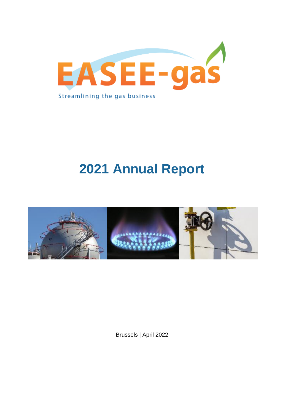

# **2021 Annual Report**



Brussels | April 2022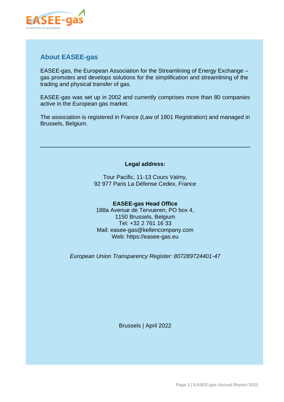

## **About EASEE-gas**

EASEE-gas, the European Association for the Streamlining of Energy Exchange – gas promotes and develops solutions for the simplification and streamlining of the trading and physical transfer of gas.

EASEE-gas was set up in 2002 and currently comprises more than 80 companies active in the European gas market.

The association is registered in France (Law of 1901 Registration) and managed in Brussels, Belgium.

#### **Legal address:**

Tour Pacific, 11-13 Cours Valmy, 92 977 Paris La Défense Cedex, France

#### **EASEE-gas Head Office**

188a Avenue de Tervueren, PO box 4, 1150 Brussels, Belgium Tel: +32 2 761 16 33 Mail: easee-gas@kellencompany.com Web: https://easee-gas.eu

*European Union Transparency Register: 807289724401-47*

Brussels | April 2022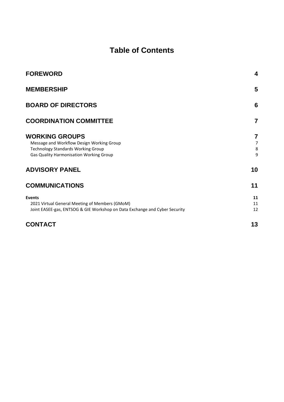## **Table of Contents**

| <b>FOREWORD</b>                                                                                                                                            | 4                             |
|------------------------------------------------------------------------------------------------------------------------------------------------------------|-------------------------------|
| <b>MEMBERSHIP</b>                                                                                                                                          | 5                             |
| <b>BOARD OF DIRECTORS</b>                                                                                                                                  | 6                             |
| <b>COORDINATION COMMITTEE</b>                                                                                                                              | $\overline{7}$                |
| <b>WORKING GROUPS</b><br>Message and Workflow Design Working Group<br><b>Technology Standards Working Group</b><br>Gas Quality Harmonisation Working Group | 7<br>$\overline{7}$<br>8<br>9 |
| <b>ADVISORY PANEL</b>                                                                                                                                      | 10                            |
| <b>COMMUNICATIONS</b>                                                                                                                                      | 11                            |
| <b>Events</b><br>2021 Virtual General Meeting of Members (GMoM)<br>Joint EASEE-gas, ENTSOG & GIE Workshop on Data Exchange and Cyber Security              | 11<br>11<br>12                |
| <b>CONTACT</b>                                                                                                                                             | 13                            |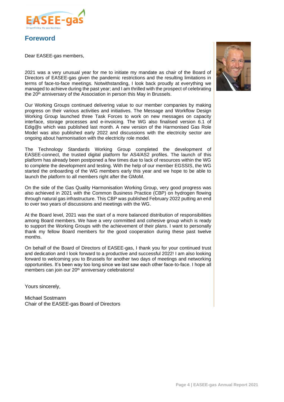

## <span id="page-3-0"></span>**Foreword**

Dear EASEE-gas members,



2021 was a very unusual year for me to initiate my mandate as chair of the Board of Directors of EASEE-gas given the pandemic restrictions and the resulting limitations in terms of face-to-face meetings. Notwithstanding, I look back proudly at everything we managed to achieve during the past year; and I am thrilled with the prospect of celebrating the 20<sup>th</sup> anniversary of the Association in person this May in Brussels.

Our Working Groups continued delivering value to our member companies by making progress on their various activities and initiatives. The Message and Workflow Design Working Group launched three Task Forces to work on new messages on capacity interface, storage processes and e-invoicing. The WG also finalised version 6.1 of Edig@s which was published last month. A new version of the Harmonised Gas Role Model was also published early 2022 and discussions with the electricity sector are ongoing about harmonisation with the electricity role model.

The Technology Standards Working Group completed the development of EASEE-connect, the trusted digital platform for AS4/AS2 profiles. The launch of this platform has already been postponed a few times due to lack of resources within the WG to complete the development and testing. With the help of our member EGSSIS, the WG started the onboarding of the WG members early this year and we hope to be able to launch the platform to all members right after the GMoM.

On the side of the Gas Quality Harmonisation Working Group, very good progress was also achieved in 2021 with the Common Business Practice (CBP) on hydrogen flowing through natural gas infrastructure. This CBP was published February 2022 putting an end to over two years of discussions and meetings with the WG.

At the Board level, 2021 was the start of a more balanced distribution of responsibilities among Board members. We have a very committed and cohesive group which is ready to support the Working Groups with the achievement of their plans. I want to personally thank my fellow Board members for the good cooperation during these past twelve months.

On behalf of the Board of Directors of EASEE-gas, I thank you for your continued trust and dedication and I look forward to a productive and successful 2022! I am also looking forward to welcoming you to Brussels for another two days of meetings and networking opportunities. It's been way too long since we last saw each other face-to-face. I hope all members can join our 20<sup>th</sup> anniversary celebrations!

Yours sincerely,

Michael Sostmann Chair of the EASEE-gas Board of Directors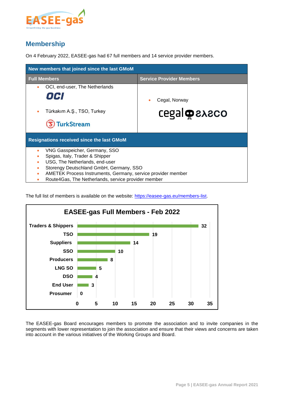

## <span id="page-4-0"></span>**Membership**

On 4 February 2022, EASEE-gas had 67 full members and 14 service provider members.

| New members that joined since the last GMoM                       |                                 |  |  |  |
|-------------------------------------------------------------------|---------------------------------|--|--|--|
| <b>Full Members</b>                                               | <b>Service Provider Members</b> |  |  |  |
| OCI, end-user, The Netherlands<br>۰                               |                                 |  |  |  |
| OCI                                                               | Cegal, Norway                   |  |  |  |
| Türkakım A.Ş., TSO, Turkey                                        | <b>CEGAL OR SACCO</b>           |  |  |  |
| <b>TurkStream</b>                                                 |                                 |  |  |  |
| <b>Resignations received since the last GMoM</b>                  |                                 |  |  |  |
| VNG Gasspeicher, Germany, SSO<br>۰                                |                                 |  |  |  |
| Spigas, Italy, Trader & Shipper                                   |                                 |  |  |  |
| USG, The Netherlands, end-user                                    |                                 |  |  |  |
| Storengy Deutschland GmbH, Germany, SSO<br>٠                      |                                 |  |  |  |
| AMETEK Process Instruments, Germany, service provider member<br>۰ |                                 |  |  |  |
| Route4Gas, The Netherlands, service provider member               |                                 |  |  |  |

The full list of members is available on the website: [https://easee-gas.eu/members-list.](https://easee-gas.eu/members-list)



The EASEE-gas Board encourages members to promote the association and to invite companies in the segments with lower representation to join the association and ensure that their views and concerns are taken into account in the various initiatives of the Working Groups and Board.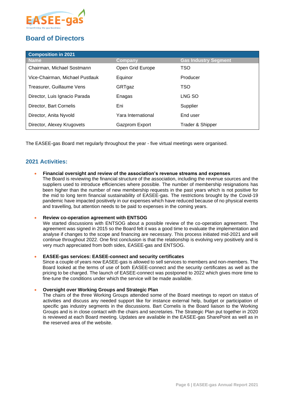

## <span id="page-5-0"></span>**Board of Directors**

| <b>Composition in 2021</b>      |                    |                             |  |  |
|---------------------------------|--------------------|-----------------------------|--|--|
| <b>Name</b>                     | Company            | <b>Gas Industry Segment</b> |  |  |
| Chairman, Michael Sostmann      | Open Grid Europe   | <b>TSO</b>                  |  |  |
| Vice-Chairman, Michael Pustlauk | Equinor            | Producer                    |  |  |
| Treasurer, Guillaume Vens       | GRTgaz             | <b>TSO</b>                  |  |  |
| Director, Luis Ignacio Parada   | Enagas             | LNG SO                      |  |  |
| Director, Bart Cornelis         | Eni                | Supplier                    |  |  |
| Director, Anita Nyvold          | Yara International | End user                    |  |  |
| Director, Alexey Krugovets      | Gazprom Export     | Trader & Shipper            |  |  |

The EASEE-gas Board met regularly throughout the year - five virtual meetings were organised.

#### **2021 Activities:**

• **Financial oversight and review of the association's revenue streams and expenses** 

The Board is reviewing the financial structure of the association, including the revenue sources and the suppliers used to introduce efficiencies where possible. The number of membership resignations has been higher than the number of new membership requests in the past years which is not positive for the mid to long term financial sustainability of EASEE-gas. The restrictions brought by the Covid-19 pandemic have impacted positively in our expenses which have reduced because of no physical events and travelling, but attention needs to be paid to expenses in the coming years.

#### • **Review co-operation agreement with ENTSOG**

We started discussions with ENTSOG about a possible review of the co-operation agreement. The agreement was signed in 2015 so the Board felt it was a good time to evaluate the implementation and analyse if changes to the scope and financing are necessary. This process initiated mid-2021 and will continue throughout 2022. One first conclusion is that the relationship is evolving very positively and is very much appreciated from both sides, EASEE-gas and ENTSOG.

#### • **EASEE-gas services: EASEE-connect and security certificates**

Since a couple of years now EASEE-gas is allowed to sell services to members and non-members. The Board looked at the terms of use of both EASEE-connect and the security certificates as well as the pricing to be charged. The launch of EASEE-connect was postponed to 2022 which gives more time to fine-tune the conditions under which the service will be made available.

#### • **Oversight over Working Groups and Strategic Plan**

The chairs of the three Working Groups attended some of the Board meetings to report on status of activities and discuss any needed support like for instance external help, budget or participation of specific gas industry segments in the discussions. Bart Cornelis is the Board liaison to the Working Groups and is in close contact with the chairs and secretaries. The Strategic Plan put together in 2020 is reviewed at each Board meeting. Updates are available in the EASEE-gas SharePoint as well as in the reserved area of the website.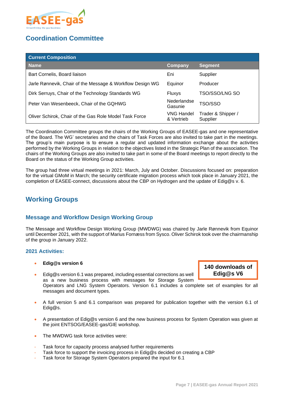

## <span id="page-6-0"></span>**Coordination Committee**

| <b>Current Composition</b>                                |                          |                                |
|-----------------------------------------------------------|--------------------------|--------------------------------|
| <b>Name</b>                                               | <b>Company</b>           | <b>Segment</b>                 |
| Bart Cornelis, Board liaison                              | Eni                      | Supplier                       |
| Jarle Rønnevik, Chair of the Message & Workflow Design WG | Equinor                  | Producer                       |
| Dirk Serruys, Chair of the Technology Standards WG        | Fluxys                   | TSO/SSO/LNG SO                 |
| Peter Van Wesenbeeck, Chair of the GQHWG                  | Nederlandse<br>Gasunie   | TSO/SSO                        |
| Oliver Schirok, Chair of the Gas Role Model Task Force    | VNG Handel<br>& Vertrieb | Trader & Shipper /<br>Supplier |

The Coordination Committee groups the chairs of the Working Groups of EASEE-gas and one representative of the Board. The WG' secretaries and the chairs of Task Forces are also invited to take part in the meetings. The group's main purpose is to ensure a regular and updated information exchange about the activities performed by the Working Groups in relation to the objectives listed in the Strategic Plan of the association. The chairs of the Working Groups are also invited to take part in some of the Board meetings to report directly to the Board on the status of the Working Group activities.

The group had three virtual meetings in 2021: March, July and October. Discussions focused on: preparation for the virtual GMoM in March; the security certificate migration process which took place in January 2021, the completion of EASEE-connect, discussions about the CBP on Hydrogen and the update of Edig@s v. 6.

## <span id="page-6-1"></span>**Working Groups**

#### <span id="page-6-2"></span>**Message and Workflow Design Working Group**

The Message and Workflow Design Working Group (MWDWG) was chaired by Jarle Rønnevik from Equinor until December 2021, with the support of Marius Fornæss from Sysco. Oliver Schirok took over the chairmanship of the group in January 2022.

#### **2021 Activities:**

- **Edig@s version 6**
- Edig@s version 6.1 was prepared, including essential corrections as well as a new business process with messages for Storage System

Operators and LNG System Operators. Version 6.1 includes a complete set of examples for all messages and document types.

- A full version 5 and 6.1 comparison was prepared for publication together with the version 6.1 of Edig@s.
- A presentation of Edig@s version 6 and the new business process for System Operation was given at the joint ENTSOG/EASEE-gas/GIE workshop.
- The MWDWG task force activities were:
- Task force for capacity process analysed further requirements
- Task force to support the invoicing process in Edig@s decided on creating a CBP
- Task force for Storage System Operators prepared the input for 6.1

**140 downloads of Edig@s V6**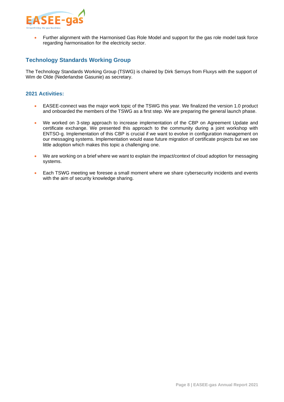

• Further alignment with the Harmonised Gas Role Model and support for the gas role model task force regarding harmonisation for the electricity sector.

#### <span id="page-7-0"></span>**Technology Standards Working Group**

The Technology Standards Working Group (TSWG) is chaired by Dirk Serruys from Fluxys with the support of Wim de Olde (Nederlandse Gasunie) as secretary.

#### **2021 Activities:**

- EASEE-connect was the major work topic of the TSWG this year. We finalized the version 1.0 product and onboarded the members of the TSWG as a first step. We are preparing the general launch phase.
- We worked on 3-step approach to increase implementation of the CBP on Agreement Update and certificate exchange. We presented this approach to the community during a joint workshop with ENTSO-g. Implementation of this CBP is crucial if we want to evolve in configuration management on our messaging systems. Implementation would ease future migration of certificate projects but we see little adoption which makes this topic a challenging one.
- We are working on a brief where we want to explain the impact/context of cloud adoption for messaging systems.
- Each TSWG meeting we foresee a small moment where we share cybersecurity incidents and events with the aim of security knowledge sharing.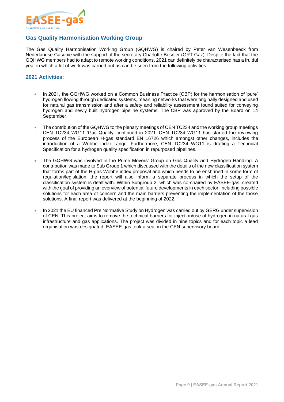

#### <span id="page-8-0"></span>**Gas Quality Harmonisation Working Group**

The Gas Quality Harmonisation Working Group (GQHWG) is chaired by Peter van Wesenbeeck from Nederlandse Gasunie with the support of the secretary Charlotte Besnier (GRT Gaz). Despite the fact that the GQHWG members had to adapt to remote working conditions, 2021 can definitely be characterised has a fruitful year in which a lot of work was carried out as can be seen from the following activities.

#### **2021 Activities:**

- In 2021, the GQHWG worked on a Common Business Practice (CBP) for the harmonisation of 'pure' hydrogen flowing through dedicated systems, meaning networks that were originally designed and used for natural gas transmission and after a safety and reliability assessment found suited for conveying hydrogen and newly built hydrogen pipeline systems. The CBP was approved by the Board on 14 September.
- The contribution of the GQHWG to the plenary meetings of CEN TC234 and the working group meetings CEN TC234 WG11 'Gas Quality' continued in 2021. CEN TC234 WG11 has started the reviewing process of the European H-gas standard EN 16726 which amongst other changes, includes the introduction of a Wobbe index range. Furthermore, CEN TC234 WG11 is drafting a Technical Specification for a hydrogen quality specification in repurposed pipelines.
- The GQHWG was involved in the Prime Movers' Group on Gas Quality and Hydrogen Handling. A contribution was made to Sub Group 1 which discussed with the details of the new classification system that forms part of the H-gas Wobbe index proposal and which needs to be enshrined in some form of regulation/legislation, the report will also inform a separate process in which the setup of the classification system is dealt with. Within Subgroup 2, which was co-chaired by EASEE-gas, created with the goal of providing an overview of potential future developments in each sector, including possible solutions for each area of concern and the main barriers preventing the implementation of the those solutions. A final report was delivered at the beginning of 2022.
- In 2021 the EU financed Pre Normative Study on Hydrogen was carried out by GERG under supervision of CEN. This project aims to remove the technical barriers for injection/use of hydrogen in natural gas infrastructure and gas applications. The project was divided in nine topics and for each topic a lead organisation was designated. EASEE-gas took a seat in the CEN supervisory board.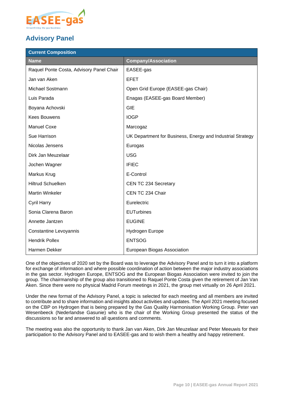

## <span id="page-9-0"></span>**Advisory Panel**

| <b>Current Composition</b>               |                                                            |  |  |
|------------------------------------------|------------------------------------------------------------|--|--|
| <b>Name</b>                              | <b>Company/Association</b>                                 |  |  |
| Raquel Ponte Costa, Advisory Panel Chair | EASEE-gas                                                  |  |  |
| Jan van Aken                             | <b>EFET</b>                                                |  |  |
| Michael Sostmann                         | Open Grid Europe (EASEE-gas Chair)                         |  |  |
| Luis Parada                              | Enagas (EASEE-gas Board Member)                            |  |  |
| Boyana Achovski                          | <b>GIE</b>                                                 |  |  |
| <b>Kees Bouwens</b>                      | <b>IOGP</b>                                                |  |  |
| <b>Manuel Coxe</b>                       | Marcogaz                                                   |  |  |
| Sue Harrison                             | UK Department for Business, Energy and Industrial Strategy |  |  |
| Nicolas Jensens                          | Eurogas                                                    |  |  |
| Dirk Jan Meuzelaar                       | <b>USG</b>                                                 |  |  |
| Jochen Wagner                            | <b>IFIEC</b>                                               |  |  |
| Markus Krug                              | E-Control                                                  |  |  |
| <b>Hiltrud Schuelken</b>                 | CEN TC 234 Secretary                                       |  |  |
| <b>Martin Winkeler</b>                   | CEN TC 234 Chair                                           |  |  |
| Cyril Harry                              | Eurelectric                                                |  |  |
| Sonia Clarena Baron                      | <b>EUTurbines</b>                                          |  |  |
| Annette Jantzen                          | <b>EUGINE</b>                                              |  |  |
| Constantine Levoyannis                   | Hydrogen Europe                                            |  |  |
| <b>Hendrik Pollex</b>                    | <b>ENTSOG</b>                                              |  |  |
| Harmen Dekker                            | European Biogas Association                                |  |  |

One of the objectives of 2020 set by the Board was to leverage the Advisory Panel and to turn it into a platform for exchange of information and where possible coordination of action between the major industry associations in the gas sector. Hydrogen Europe, ENTSOG and the European Biogas Association were invited to join the group. The chairmanship of the group also transitioned to Raquel Ponte Costa given the retirement of Jan Van Aken. Since there were no physical Madrid Forum meetings in 2021, the group met virtually on 26 April 2021.

Under the new format of the Advisory Panel, a topic is selected for each meeting and all members are invited to contribute and to share information and insights about activities and updates. The April 2021 meeting focused on the CBP on Hydrogen that is being prepared by the Gas Quality Harmonisation Working Group. Peter van Wesenbeeck (Nederlandse Gasunie) who is the chair of the Working Group presented the status of the discussions so far and answered to all questions and comments.

The meeting was also the opportunity to thank Jan van Aken, Dirk Jan Meuzelaar and Peter Meeuwis for their participation to the Advisory Panel and to EASEE-gas and to wish them a healthy and happy retirement.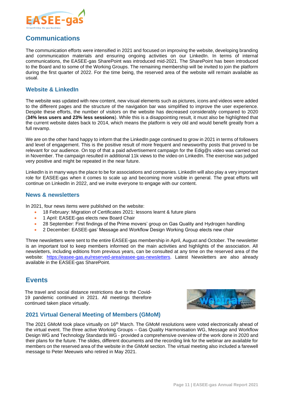

## <span id="page-10-0"></span>**Communications**

The communication efforts were intensified in 2021 and focused on improving the website, developing branding and communication materials and ensuring ongoing activities on our LinkedIn. In terms of internal communications, the EASEE-gas SharePoint was introduced mid-2021. The SharePoint has been introduced to the Board and to some of the Working Groups. The remaining membership will be invited to join the platform during the first quarter of 2022. For the time being, the reserved area of the website will remain available as usual.

#### **Website & LinkedIn**

The website was updated with new content, new visual elements such as pictures, icons and videos were added to the different pages and the structure of the navigation bar was simplified to improve the user experience. Despite these efforts, the number of visitors on the website has decreased considerably compared to 2020 (**34% less users and 23% less sessions**). While this is a disappointing result, it must also be highlighted that the current website dates back to 2014, which means the platform is very old and would benefit greatly from a full revamp.

We are on the other hand happy to inform that the LinkedIn page continued to grow in 2021 in terms of followers and level of engagement. This is the positive result of more frequent and newsworthy posts that proved to be relevant for our audience. On top of that a paid advertisement campaign for the Edig@s video was carried out in November. The campaign resulted in additional 11k views to the video on LinkedIn. The exercise was judged very positive and might be repeated in the near future.

LinkedIn is in many ways the place to be for associations and companies. LinkedIn will also play a very important role for EASEE-gas when it comes to scale up and becoming more visible in general. The great efforts will continue on LinkedIn in 2022, and we invite everyone to engage with our content.

#### **News & newsletters**

In 2021, four news items were published on the website:

- 18 February: Migration of Certificates 2021: lessons learnt & future plans
- 1 April: EASEE-gas elects new Board Chair
- 28 September: First findings of the Prime movers' group on Gas Quality and Hydrogen handling
- 2 December: EASEE-gas' Message and Workflow Design Working Group elects new chair

Three newsletters were sent to the entire EASEE-gas membership in April, August and October. The newsletter is an important tool to keep members informed on the main activities and highlights of the association. All newsletters, including editions from previous years, can be consulted at any time on the reserved area of the website: [https://easee-gas.eu/reserved-area/easee-gas-newsletters.](https://easee-gas.eu/reserved-area/easee-gas-newsletters) Latest Newsletters are also already available in the EASEE-gas SharePoint.

### <span id="page-10-1"></span>**Events**

The travel and social distance restrictions due to the Covid-19 pandemic continued in 2021. All meetings therefore continued taken place virtually.



#### <span id="page-10-2"></span>**2021 Virtual General Meeting of Members (GMoM)**

The 2021 GMoM took place virtually on 16<sup>th</sup> March. The GMoM resolutions were voted electronically ahead of the virtual event. The three active Working Groups – Gas Quality Harmonisation WG, Message and Workflow Design WG and Technology Standards WG - provided a comprehensive overview of the work done in 2020 and their plans for the future. The slides, different documents and the recording link for the webinar are available for members on the reserved area of the website in the GMoM section. The virtual meeting also included a farewell message to Peter Meeuwis who retired in May 2021.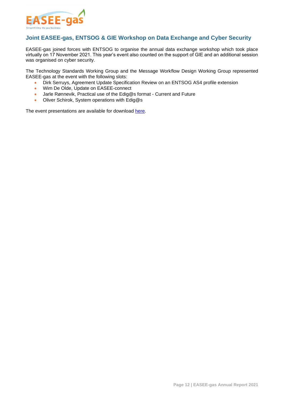

#### <span id="page-11-0"></span>**Joint EASEE-gas, ENTSOG & GIE Workshop on Data Exchange and Cyber Security**

EASEE-gas joined forces with ENTSOG to organise the annual data exchange workshop which took place virtually on 17 November 2021. This year's event also counted on the support of GIE and an additional session was organised on cyber security.

The Technology Standards Working Group and the Message Workflow Design Working Group represented EASEE-gas at the event with the following slots:

- Dirk Serruys, Agreement Update Specification Review on an ENTSOG AS4 profile extension
- Wim De Olde, Update on EASEE-connect
- Jarle Rønnevik, Practical use of the Edig@s format Current and Future
- Oliver Schirok, System operations with Edig@s

The event presentations are available for download [here.](https://www.entsog.eu/joint-workshop-data-exchange-and-cyber-security-gas-sector#downloads)